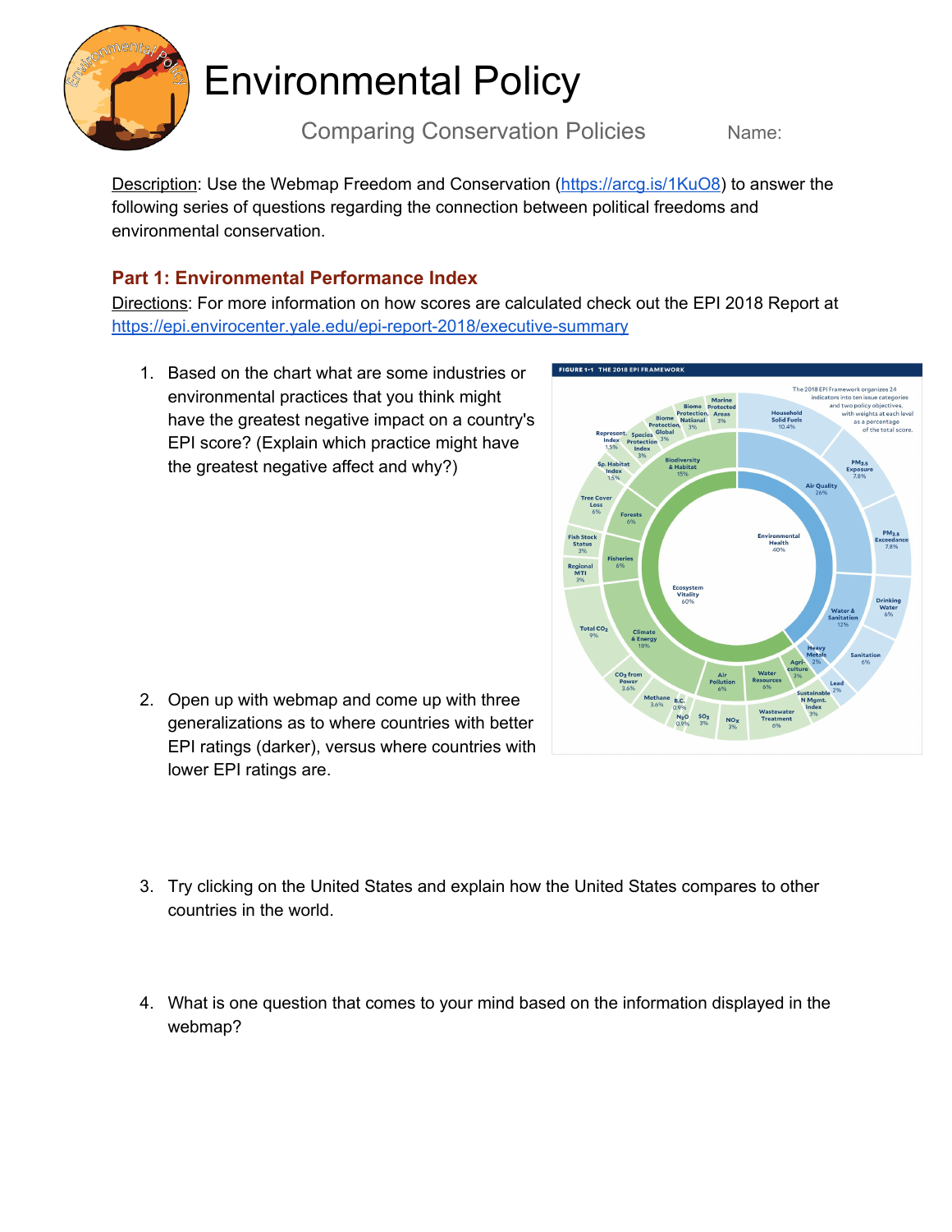

# Environmental Policy

Comparing Conservation Policies Name:

Description: Use the Webmap Freedom and Conservation ([https://arcg.is/1KuO8\)](https://arcg.is/1KuO8) to answer the following series of questions regarding the connection between political freedoms and environmental conservation.

### **Part 1: Environmental Performance Index**

Directions: For more information on how scores are calculated check out the EPI 2018 Report at <https://epi.envirocenter.yale.edu/epi-report-2018/executive-summary>

1. Based on the chart what are some industries or environmental practices that you think might have the greatest negative impact on a country's EPI score? (Explain which practice might have the greatest negative affect and why?)



- 3. Try clicking on the United States and explain how the United States compares to other countries in the world.
- 4. What is one question that comes to your mind based on the information displayed in the webmap?